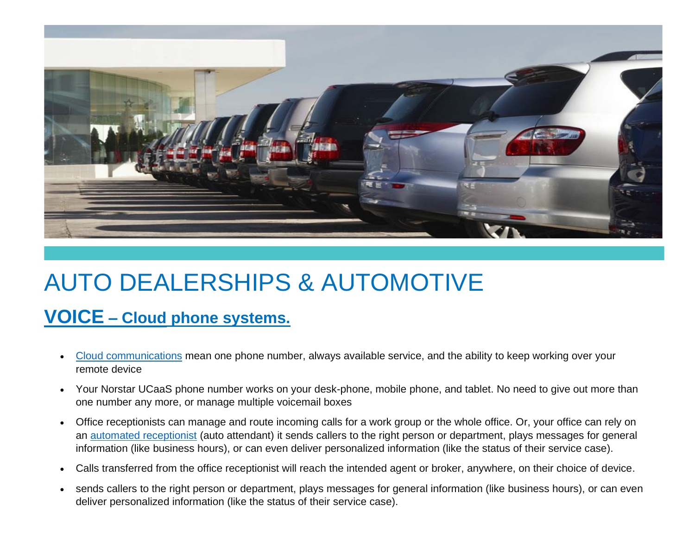

### AUTO DEALERSHIPS & AUTOMOTIVE

#### **[VOICE](http://www.norstartelecom.com/voice/unified-communications.html) – Cloud [phone systems.](http://www.norstartelecom.com/voice/unified-communications.html)**

- [Cloud communications](https://www.norstartelecom.com/voice/unified-communications/) mean one phone number, always available service, and the ability to keep working over your remote device
- Your Norstar UCaaS phone number works on your desk-phone, mobile phone, and tablet. No need to give out more than one number any more, or manage multiple voicemail boxes
- Office receptionists can manage and route incoming calls for a work group or the whole office. Or, your office can rely on an [automated receptionist](https://www.norstartelecom.com/voice/hosted-pbx/features/autoattendant/) (auto attendant) it sends callers to the right person or department, plays messages for general information (like business hours), or can even deliver personalized information (like the status of their service case).
- Calls transferred from the office receptionist will reach the intended agent or broker, anywhere, on their choice of device.
- sends callers to the right person or department, plays messages for general information (like business hours), or can even deliver personalized information (like the status of their service case).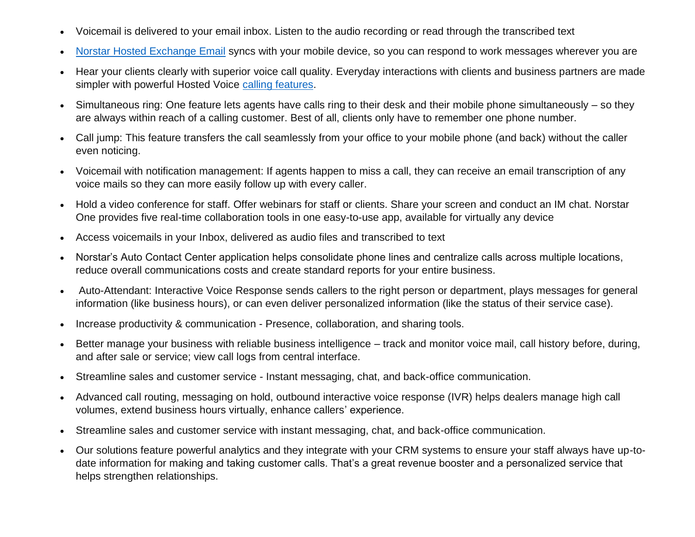- Voicemail is delivered to your email inbox. Listen to the audio recording or read through the transcribed text
- [Norstar Hosted Exchange Email](https://www.norstartelecom.com/cloud-it/hosted-exchange/) syncs with your mobile device, so you can respond to work messages wherever you are
- Hear your clients clearly with superior voice call quality. Everyday interactions with clients and business partners are made simpler with powerful Hosted Voice [calling features.](https://www.norstartelecom.com/voice/hosted-pbx/features/)
- Simultaneous ring: One feature lets agents have calls ring to their desk and their mobile phone simultaneously so they are always within reach of a calling customer. Best of all, clients only have to remember one phone number.
- Call jump: This feature transfers the call seamlessly from your office to your mobile phone (and back) without the caller even noticing.
- Voicemail with notification management: If agents happen to miss a call, they can receive an email transcription of any voice mails so they can more easily follow up with every caller.
- Hold a video conference for staff. Offer webinars for staff or clients. Share your screen and conduct an IM chat. Norstar One provides five real-time collaboration tools in one easy-to-use app, available for virtually any device
- Access voicemails in your Inbox, delivered as audio files and transcribed to text
- Norstar's Auto Contact Center application helps consolidate phone lines and centralize calls across multiple locations, reduce overall communications costs and create standard reports for your entire business.
- Auto-Attendant: Interactive Voice Response sends callers to the right person or department, plays messages for general information (like business hours), or can even deliver personalized information (like the status of their service case).
- Increase productivity & communication Presence, collaboration, and sharing tools.
- Better manage your business with reliable business intelligence track and monitor voice mail, call history before, during, and after sale or service; view call logs from central interface.
- Streamline sales and customer service Instant messaging, chat, and back-office communication.
- Advanced call routing, messaging on hold, outbound interactive voice response (IVR) helps dealers manage high call volumes, extend business hours virtually, enhance callers' experience.
- Streamline sales and customer service with instant messaging, chat, and back-office communication.
- Our solutions feature powerful analytics and they integrate with your CRM systems to ensure your staff always have up-todate information for making and taking customer calls. That's a great revenue booster and a personalized service that helps strengthen relationships.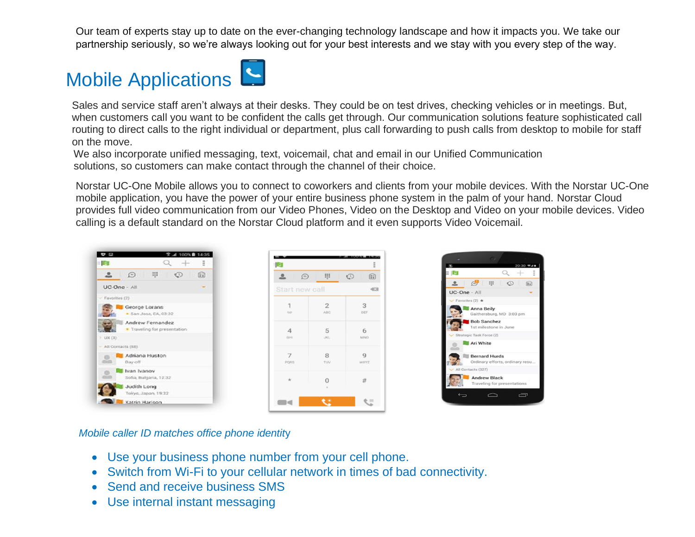Our team of experts stay up to date on the ever-changing technology landscape and how it impacts you. We take our partnership seriously, so we're always looking out for your best interests and we stay with you every step of the way.

### Mobile Applications

Sales and service staff aren't always at their desks. They could be on test drives, checking vehicles or in meetings. But, when customers call you want to be confident the calls get through. Our communication solutions feature sophisticated call routing to direct calls to the right individual or department, plus call forwarding to push calls from desktop to mobile for staff on the move.

 We also incorporate unified messaging, text, voicemail, chat and email in our Unified Communication solutions, so customers can make contact through the channel of their choice.

Norstar UC-One Mobile allows you to connect to coworkers and clients from your mobile devices. With the Norstar UC-One mobile application, you have the power of your entire business phone system in the palm of your hand. Norstar Cloud provides full video communication from our Video Phones, Video on the Desktop and Video on your mobile devices. Video calling is a default standard on the Norstar Cloud platform and it even supports Video Voicemail.



| <b>IQ</b>                |                       | Ĩ                                     |
|--------------------------|-----------------------|---------------------------------------|
| $\bigcirc$<br>으<br>U.    | ⊞                     | $\mathbb{C}$<br>$\boxed{\frac{1}{2}}$ |
|                          |                       |                                       |
| Start new call<br>$-631$ |                       |                                       |
| 1<br>Q                   | $\overline{2}$<br>ABC | 3<br>DEF                              |
| 4<br>G.HI                | 5<br><b>JBCL</b>      | 6<br>MNO                              |
| 7<br>PORS                | 8<br>TUV              | a<br><b>WXYZ</b>                      |
| $\star$                  | $\Omega$              | #                                     |
|                          | t :                   |                                       |



*Mobile caller ID matches office phone identit*y

- Use your business phone number from your cell phone.
- Switch from Wi-Fi to your cellular network in times of bad connectivity.
- Send and receive business SMS
- Use internal instant messaging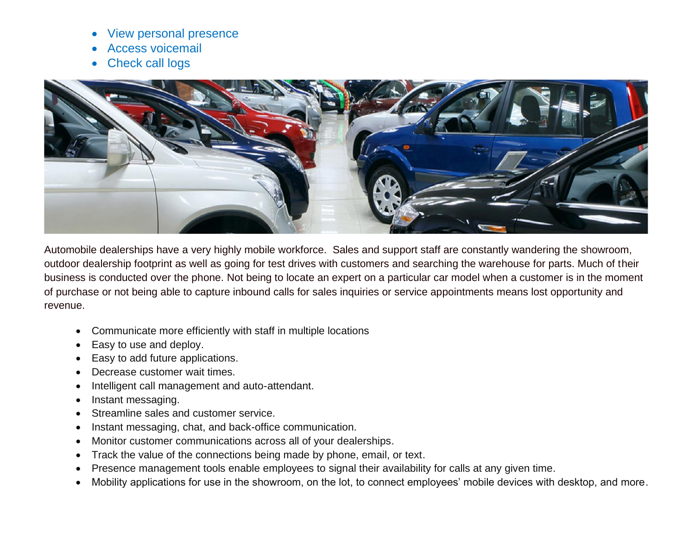- View personal presence
- Access voicemail
- Check call logs



Automobile dealerships have a very highly mobile workforce. Sales and support staff are constantly wandering the showroom, outdoor dealership footprint as well as going for test drives with customers and searching the warehouse for parts. Much of their business is conducted over the phone. Not being to locate an expert on a particular car model when a customer is in the moment of purchase or not being able to capture inbound calls for sales inquiries or service appointments means lost opportunity and revenue.

- Communicate more efficiently with staff in multiple locations
- Easy to use and deploy.
- Easy to add future applications.
- Decrease customer wait times.
- Intelligent call management and auto-attendant.
- Instant messaging.
- Streamline sales and customer service.
- Instant messaging, chat, and back-office communication.
- Monitor customer communications across all of your dealerships.
- Track the value of the connections being made by phone, email, or text.
- Presence management tools enable employees to signal their availability for calls at any given time.
- Mobility applications for use in the showroom, on the lot, to connect employees' mobile devices with desktop, and more.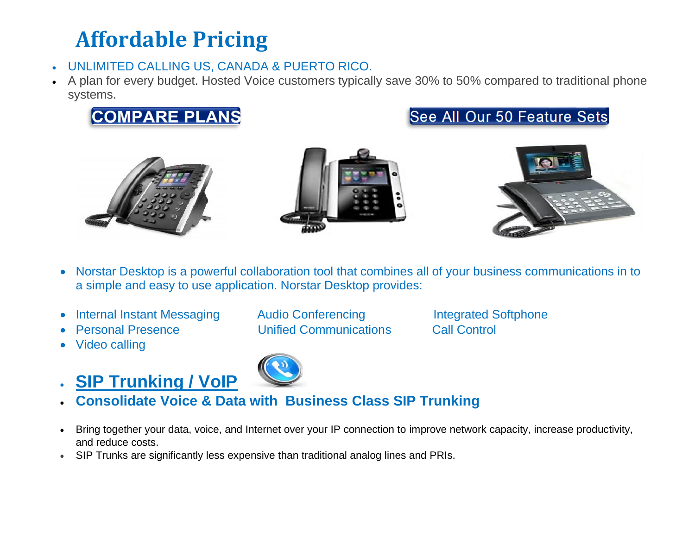### **Affordable Pricing**

- UNLIMITED CALLING US, CANADA & PUERTO RICO.
- A plan for every budget. Hosted Voice customers typically save 30% to 50% compared to traditional phone systems.







- Norstar Desktop is a powerful collaboration tool that combines all of your business communications in to a simple and easy to use application. Norstar Desktop provides:
- Internal Instant Messaging Audio Conferencing Integrated Softphone
- 
- Video calling
- **SIP Trunking / VoIP**
- Personal Presence Unified Communications Call Control

- **Consolidate Voice & Data with Business Class SIP Trunking**
- Bring together your data, voice, and Internet over your IP connection to improve network capacity, increase productivity, and reduce costs.
- SIP Trunks are significantly less expensive than traditional analog lines and PRIs.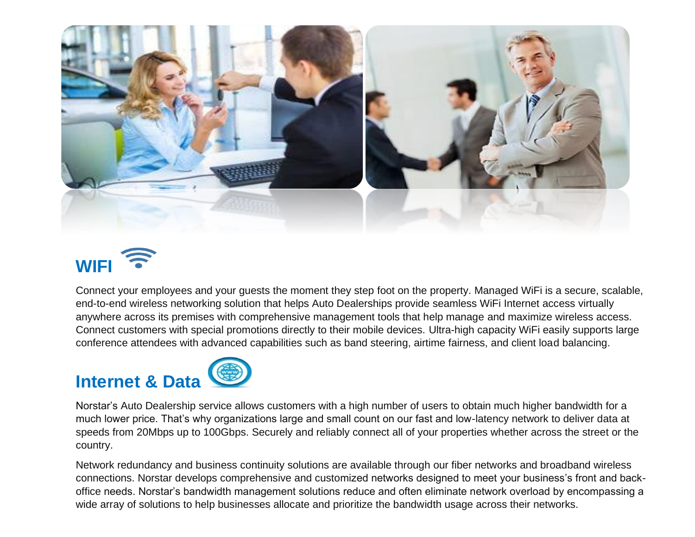

## **WIFI**

Connect your employees and your guests the moment they step foot on the property. Managed WiFi is a secure, scalable, end-to-end wireless networking solution that helps Auto Dealerships provide seamless WiFi Internet access virtually anywhere across its premises with comprehensive management tools that help manage and maximize wireless access. Connect customers with special promotions directly to their mobile devices. Ultra-high capacity WiFi easily supports large conference attendees with advanced capabilities such as band steering, airtime fairness, and client load balancing.

# **Internet & Data**



Norstar's Auto Dealership service allows customers with a high number of users to obtain much higher bandwidth for a much lower price. That's why organizations large and small count on our fast and low-latency network to deliver data at speeds from 20Mbps up to 100Gbps. Securely and reliably connect all of your properties whether across the street or the country.

Network redundancy and business continuity solutions are available through our fiber networks and broadband wireless connections. Norstar develops comprehensive and customized networks designed to meet your business's front and backoffice needs. Norstar's bandwidth management solutions reduce and often eliminate network overload by encompassing a wide array of solutions to help businesses allocate and prioritize the bandwidth usage across their networks.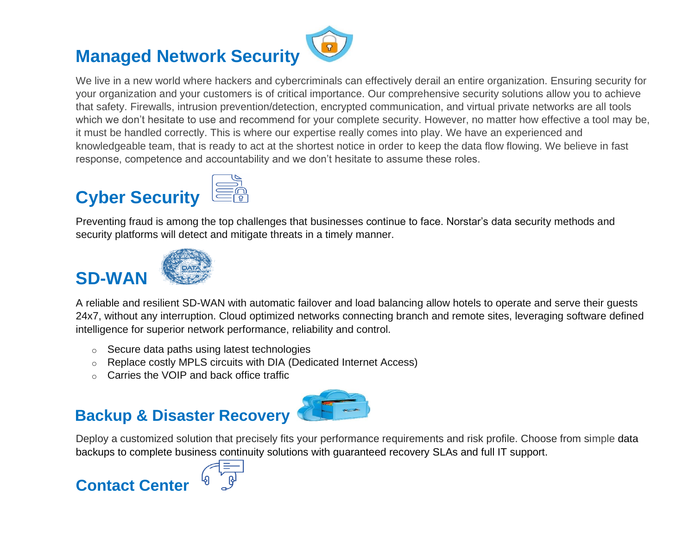### **Managed Network Security**

We live in a new world where hackers and cybercriminals can effectively derail an entire organization. Ensuring security for your organization and your customers is of critical importance. Our comprehensive security solutions allow you to achieve that safety. Firewalls, intrusion prevention/detection, encrypted communication, and virtual private networks are all tools which we don't hesitate to use and recommend for your complete security. However, no matter how effective a tool may be, it must be handled correctly. This is where our expertise really comes into play. We have an experienced and knowledgeable team, that is ready to act at the shortest notice in order to keep the data flow flowing. We believe in fast response, competence and accountability and we don't hesitate to assume these roles.

### **Cyber Security**



Preventing fraud is among the top challenges that businesses continue to face. Norstar's data security methods and security platforms will detect and mitigate threats in a timely manner.

#### **SD-WA**



A reliable and resilient SD-WAN with automatic failover and load balancing allow hotels to operate and serve their guests 24x7, without any interruption. Cloud optimized networks connecting branch and remote sites, leveraging software defined intelligence for superior network performance, reliability and control.

- o Secure data paths using latest technologies
- o Replace costly MPLS circuits with DIA (Dedicated Internet Access)
- o Carries the VOIP and back office traffic

#### **Backup & Disaster Recovery**



Deploy a customized solution that precisely fits your performance requirements and risk profile. Choose from simple data backups to complete business continuity solutions with guaranteed recovery SLAs and full IT support.

#### **Contact Center**

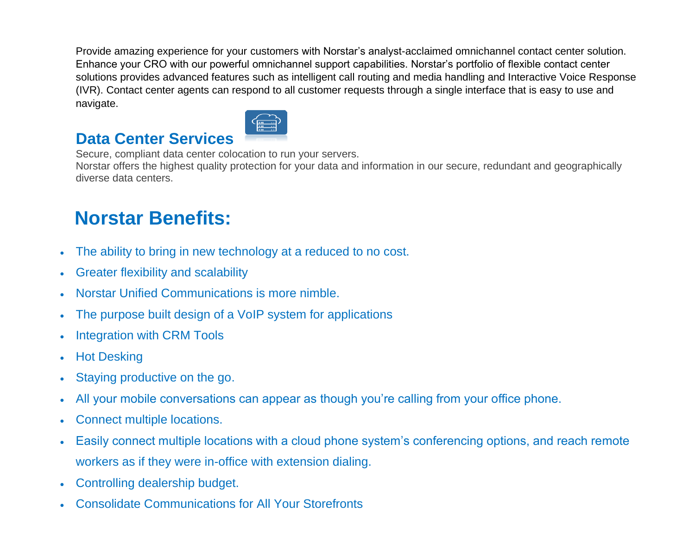Provide amazing experience for your customers with Norstar's analyst-acclaimed omnichannel contact center solution. Enhance your CRO with our powerful omnichannel support capabilities. Norstar's portfolio of flexible contact center solutions provides advanced features such as intelligent call routing and media handling and Interactive Voice Response (IVR). Contact center agents can respond to all customer requests through a single interface that is easy to use and navigate.

#### **Data Center Services**



Secure, compliant data center colocation to run your servers. Norstar offers the highest quality protection for your data and information in our secure, redundant and geographically diverse data centers.

### **Norstar Benefits:**

- The ability to bring in new technology at a reduced to no cost.
- Greater flexibility and scalability
- Norstar Unified Communications is more nimble.
- The purpose built design of a VoIP system for applications
- Integration with CRM Tools
- Hot Desking
- Staying productive on the go.
- All your mobile conversations can appear as though you're calling from your office phone.
- Connect multiple locations.
- Easily connect multiple locations with a cloud phone system's conferencing options, and reach remote workers as if they were in-office with extension dialing.
- Controlling dealership budget.
- Consolidate Communications for All Your Storefronts